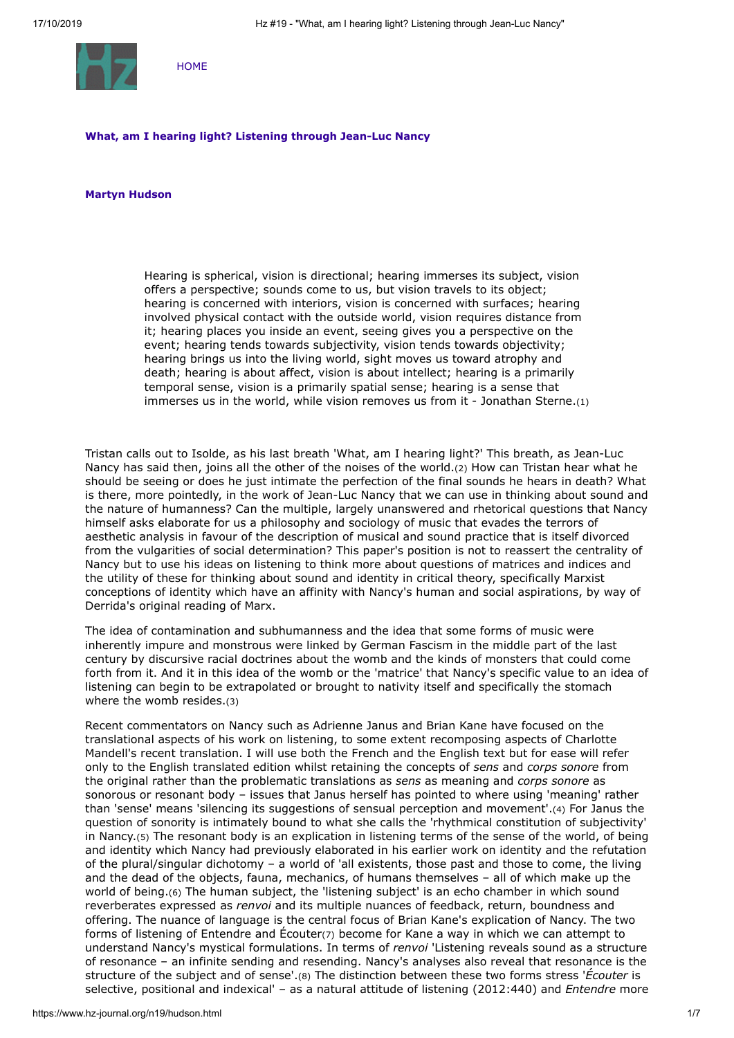

**[HOME](https://www.hz-journal.org/n19/index.html)** 

#### **What, am I hearing light? Listening through Jean-Luc Nancy**

#### **Martyn Hudson**

<span id="page-0-1"></span><span id="page-0-0"></span>Hearing is spherical, vision is directional; hearing immerses its subject, vision offers a perspective; sounds come to us, but vision travels to its object; hearing is concerned with interiors, vision is concerned with surfaces; hearing involved physical contact with the outside world, vision requires distance from it; hearing places you inside an event, seeing gives you a perspective on the event; hearing tends towards subjectivity, vision tends towards objectivity; hearing brings us into the living world, sight moves us toward atrophy and death; hearing is about affect, vision is about intellect; hearing is a primarily temporal sense, vision is a primarily spatial sense; hearing is a sense that immerses us in the world, while vision removes us from it - Jonathan Sterne.[\(1\)](#page-5-0)

Tristan calls out to Isolde, as his last breath 'What, am I hearing light?' This breath, as Jean-Luc Nancy has said then, joins all the other of the noises of the world.[\(2\)](#page-5-1) How can Tristan hear what he should be seeing or does he just intimate the perfection of the final sounds he hears in death? What is there, more pointedly, in the work of Jean-Luc Nancy that we can use in thinking about sound and the nature of humanness? Can the multiple, largely unanswered and rhetorical questions that Nancy himself asks elaborate for us a philosophy and sociology of music that evades the terrors of aesthetic analysis in favour of the description of musical and sound practice that is itself divorced from the vulgarities of social determination? This paper's position is not to reassert the centrality of Nancy but to use his ideas on listening to think more about questions of matrices and indices and the utility of these for thinking about sound and identity in critical theory, specifically Marxist conceptions of identity which have an affinity with Nancy's human and social aspirations, by way of Derrida's original reading of Marx.

The idea of contamination and subhumanness and the idea that some forms of music were inherently impure and monstrous were linked by German Fascism in the middle part of the last century by discursive racial doctrines about the womb and the kinds of monsters that could come forth from it. And it in this idea of the womb or the 'matrice' that Nancy's specific value to an idea of listening can begin to be extrapolated or brought to nativity itself and specifically the stomach where the womb resides.[\(3\)](#page-5-2)

<span id="page-0-7"></span><span id="page-0-6"></span><span id="page-0-5"></span><span id="page-0-4"></span><span id="page-0-3"></span><span id="page-0-2"></span>Recent commentators on Nancy such as Adrienne Janus and Brian Kane have focused on the translational aspects of his work on listening, to some extent recomposing aspects of Charlotte Mandell's recent translation. I will use both the French and the English text but for ease will refer only to the English translated edition whilst retaining the concepts of *sens* and *corps sonore* from the original rather than the problematic translations as *sens* as meaning and *corps sonore* as sonorous or resonant body – issues that Janus herself has pointed to where using 'meaning' rather than 'sense' means 'silencing its suggestions of sensual perception and movement'.[\(4\)](#page-5-3) For Janus the question of sonority is intimately bound to what she calls the 'rhythmical constitution of subjectivity' in Nancy.[\(5\)](#page-5-4) The resonant body is an explication in listening terms of the sense of the world, of being and identity which Nancy had previously elaborated in his earlier work on identity and the refutation of the plural/singular dichotomy – a world of 'all existents, those past and those to come, the living and the dead of the objects, fauna, mechanics, of humans themselves – all of which make up the world of being.[\(6\)](#page-5-5) The human subject, the 'listening subject' is an echo chamber in which sound reverberates expressed as *renvoi* and its multiple nuances of feedback, return, boundness and offering. The nuance of language is the central focus of Brian Kane's explication of Nancy. The two forms of listening of Entendre and Écouter[\(7\)](#page-5-6) become for Kane a way in which we can attempt to understand Nancy's mystical formulations. In terms of *renvoi* 'Listening reveals sound as a structure of resonance – an infinite sending and resending. Nancy's analyses also reveal that resonance is the structure of the subject and of sense'.[\(8\)](#page-5-7) The distinction between these two forms stress '*Écouter* is selective, positional and indexical' – as a natural attitude of listening (2012:440) and *Entendre* more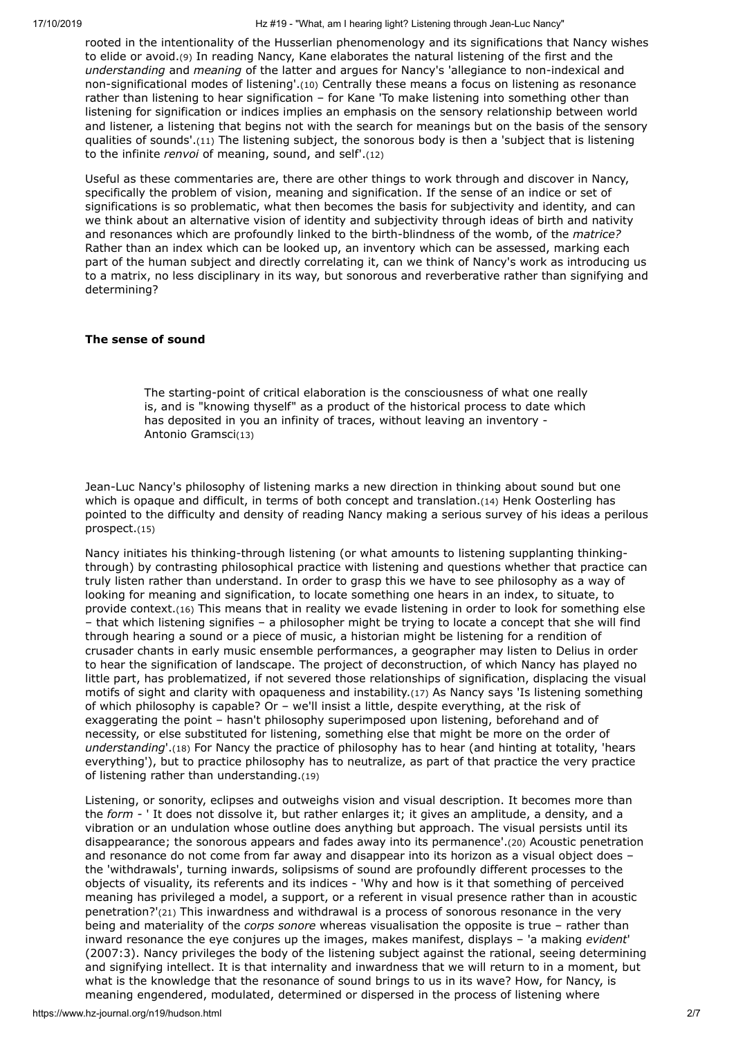<span id="page-1-1"></span><span id="page-1-0"></span>rooted in the intentionality of the Husserlian phenomenology and its significations that Nancy wishes to elide or avoid.[\(9\)](#page-5-8) In reading Nancy, Kane elaborates the natural listening of the first and the *understanding* and *meaning* of the latter and argues for Nancy's 'allegiance to non-indexical and non-significational modes of listening'.[\(10\)](#page-5-9) Centrally these means a focus on listening as resonance rather than listening to hear signification – for Kane 'To make listening into something other than listening for signification or indices implies an emphasis on the sensory relationship between world and listener, a listening that begins not with the search for meanings but on the basis of the sensory qualities of sounds'.[\(11\)](#page-5-10) The listening subject, the sonorous body is then a 'subject that is listening to the infinite *renvoi* of meaning, sound, and self'.[\(12\)](#page-5-11)

<span id="page-1-3"></span><span id="page-1-2"></span>Useful as these commentaries are, there are other things to work through and discover in Nancy, specifically the problem of vision, meaning and signification. If the sense of an indice or set of significations is so problematic, what then becomes the basis for subjectivity and identity, and can we think about an alternative vision of identity and subjectivity through ideas of birth and nativity and resonances which are profoundly linked to the birth-blindness of the womb, of the *matrice?* Rather than an index which can be looked up, an inventory which can be assessed, marking each part of the human subject and directly correlating it, can we think of Nancy's work as introducing us to a matrix, no less disciplinary in its way, but sonorous and reverberative rather than signifying and determining?

# **The sense of sound**

<span id="page-1-5"></span><span id="page-1-4"></span>The starting-point of critical elaboration is the consciousness of what one really is, and is "knowing thyself" as a product of the historical process to date which has deposited in you an infinity of traces, without leaving an inventory - Antonio Gramsci[\(13\)](#page-5-12)

Jean-Luc Nancy's philosophy of listening marks a new direction in thinking about sound but one which is opaque and difficult, in terms of both concept and translation.[\(14\)](#page-5-13) Henk Oosterling has pointed to the difficulty and density of reading Nancy making a serious survey of his ideas a perilous prospect.[\(15\)](#page-5-14)

<span id="page-1-7"></span><span id="page-1-6"></span>Nancy initiates his thinking-through listening (or what amounts to listening supplanting thinkingthrough) by contrasting philosophical practice with listening and questions whether that practice can truly listen rather than understand. In order to grasp this we have to see philosophy as a way of looking for meaning and signification, to locate something one hears in an index, to situate, to provide context.[\(16\)](#page-5-15) This means that in reality we evade listening in order to look for something else – that which listening signifies – a philosopher might be trying to locate a concept that she will find through hearing a sound or a piece of music, a historian might be listening for a rendition of crusader chants in early music ensemble performances, a geographer may listen to Delius in order to hear the signification of landscape. The project of deconstruction, of which Nancy has played no little part, has problematized, if not severed those relationships of signification, displacing the visual motifs of sight and clarity with opaqueness and instability.[\(17\)](#page-5-16) As Nancy says 'Is listening something of which philosophy is capable? Or – we'll insist a little, despite everything, at the risk of exaggerating the point – hasn't philosophy superimposed upon listening, beforehand and of necessity, or else substituted for listening, something else that might be more on the order of *understanding*'.[\(18\)](#page-5-17) For Nancy the practice of philosophy has to hear (and hinting at totality, 'hears everything'), but to practice philosophy has to neutralize, as part of that practice the very practice of listening rather than understanding.[\(19\)](#page-5-18)

<span id="page-1-12"></span><span id="page-1-11"></span><span id="page-1-10"></span><span id="page-1-9"></span><span id="page-1-8"></span>Listening, or sonority, eclipses and outweighs vision and visual description. It becomes more than the *form -* ' It does not dissolve it, but rather enlarges it; it gives an amplitude, a density, and a vibration or an undulation whose outline does anything but approach. The visual persists until its disappearance; the sonorous appears and fades away into its permanence'.[\(20\)](#page-5-19) Acoustic penetration and resonance do not come from far away and disappear into its horizon as a visual object does – the 'withdrawals', turning inwards, solipsisms of sound are profoundly different processes to the objects of visuality, its referents and its indices - 'Why and how is it that something of perceived meaning has privileged a model, a support, or a referent in visual presence rather than in acoustic penetration?'[\(21\)](#page-5-20) This inwardness and withdrawal is a process of sonorous resonance in the very being and materiality of the *corps sonore* whereas visualisation the opposite is true – rather than inward resonance the eye conjures up the images, makes manifest, displays – 'a making *evident*' (2007:3). Nancy privileges the body of the listening subject against the rational, seeing determining and signifying intellect. It is that internality and inwardness that we will return to in a moment, but what is the knowledge that the resonance of sound brings to us in its wave? How, for Nancy, is meaning engendered, modulated, determined or dispersed in the process of listening where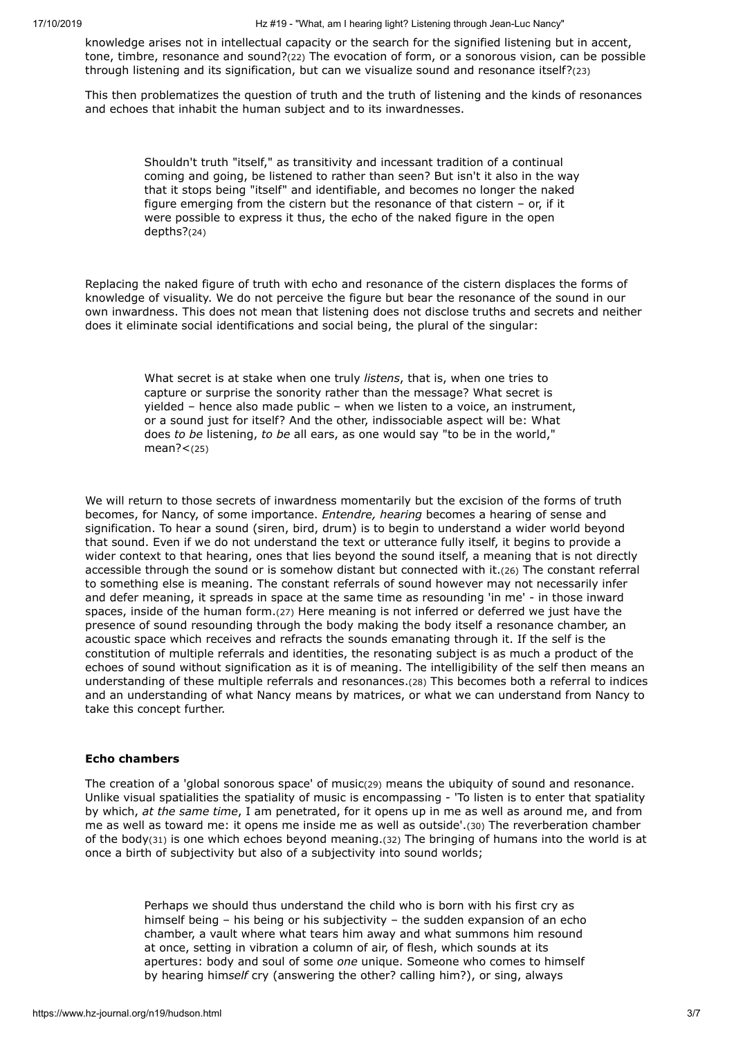knowledge arises not in intellectual capacity or the search for the signified listening but in accent, tone, timbre, resonance and sound?[\(22\)](#page-5-21) The evocation of form, or a sonorous vision, can be possible through listening and its signification, but can we visualize sound and resonance itself?[\(23\)](#page-5-22)

This then problematizes the question of truth and the truth of listening and the kinds of resonances and echoes that inhabit the human subject and to its inwardnesses.

> <span id="page-2-2"></span><span id="page-2-1"></span><span id="page-2-0"></span>Shouldn't truth "itself," as transitivity and incessant tradition of a continual coming and going, be listened to rather than seen? But isn't it also in the way that it stops being "itself" and identifiable, and becomes no longer the naked figure emerging from the cistern but the resonance of that cistern – or, if it were possible to express it thus, the echo of the naked figure in the open depths?[\(24\)](#page-5-23)

Replacing the naked figure of truth with echo and resonance of the cistern displaces the forms of knowledge of visuality. We do not perceive the figure but bear the resonance of the sound in our own inwardness. This does not mean that listening does not disclose truths and secrets and neither does it eliminate social identifications and social being, the plural of the singular:

> <span id="page-2-4"></span><span id="page-2-3"></span>What secret is at stake when one truly *listens*, that is, when one tries to capture or surprise the sonority rather than the message? What secret is yielded – hence also made public – when we listen to a voice, an instrument, or a sound just for itself? And the other, indissociable aspect will be: What does *to be* listening, *to be* all ears, as one would say "to be in the world," mean?<[\(25\)](#page-5-24)

<span id="page-2-5"></span>We will return to those secrets of inwardness momentarily but the excision of the forms of truth becomes, for Nancy, of some importance. *Entendre, hearing* becomes a hearing of sense and signification. To hear a sound (siren, bird, drum) is to begin to understand a wider world beyond that sound. Even if we do not understand the text or utterance fully itself, it begins to provide a wider context to that hearing, ones that lies beyond the sound itself, a meaning that is not directly accessible through the sound or is somehow distant but connected with it.[\(26\)](#page-5-25) The constant referral to something else is meaning. The constant referrals of sound however may not necessarily infer and defer meaning, it spreads in space at the same time as resounding 'in me' - in those inward spaces, inside of the human form.[\(27\)](#page-5-26) Here meaning is not inferred or deferred we just have the presence of sound resounding through the body making the body itself a resonance chamber, an acoustic space which receives and refracts the sounds emanating through it. If the self is the constitution of multiple referrals and identities, the resonating subject is as much a product of the echoes of sound without signification as it is of meaning. The intelligibility of the self then means an understanding of these multiple referrals and resonances.[\(28\)](#page-5-27) This becomes both a referral to indices and an understanding of what Nancy means by matrices, or what we can understand from Nancy to take this concept further.

# <span id="page-2-6"></span>**Echo chambers**

The creation of a 'global sonorous space' of music[\(29\)](#page-5-28) means the ubiquity of sound and resonance. Unlike visual spatialities the spatiality of music is encompassing - 'To listen is to enter that spatiality by which, *at the same time*, I am penetrated, for it opens up in me as well as around me, and from me as well as toward me: it opens me inside me as well as outside'.[\(30\)](#page-5-29) The reverberation chamber of the body[\(31\)](#page-5-30) is one which echoes beyond meaning.[\(32\)](#page-5-31) The bringing of humans into the world is at once a birth of subjectivity but also of a subjectivity into sound worlds;

> <span id="page-2-10"></span><span id="page-2-9"></span><span id="page-2-8"></span><span id="page-2-7"></span>Perhaps we should thus understand the child who is born with his first cry as himself being – his being or his subjectivity – the sudden expansion of an echo chamber, a vault where what tears him away and what summons him resound at once, setting in vibration a column of air, of flesh, which sounds at its apertures: body and soul of some *one* unique. Someone who comes to himself by hearing him*self* cry (answering the other? calling him?), or sing, always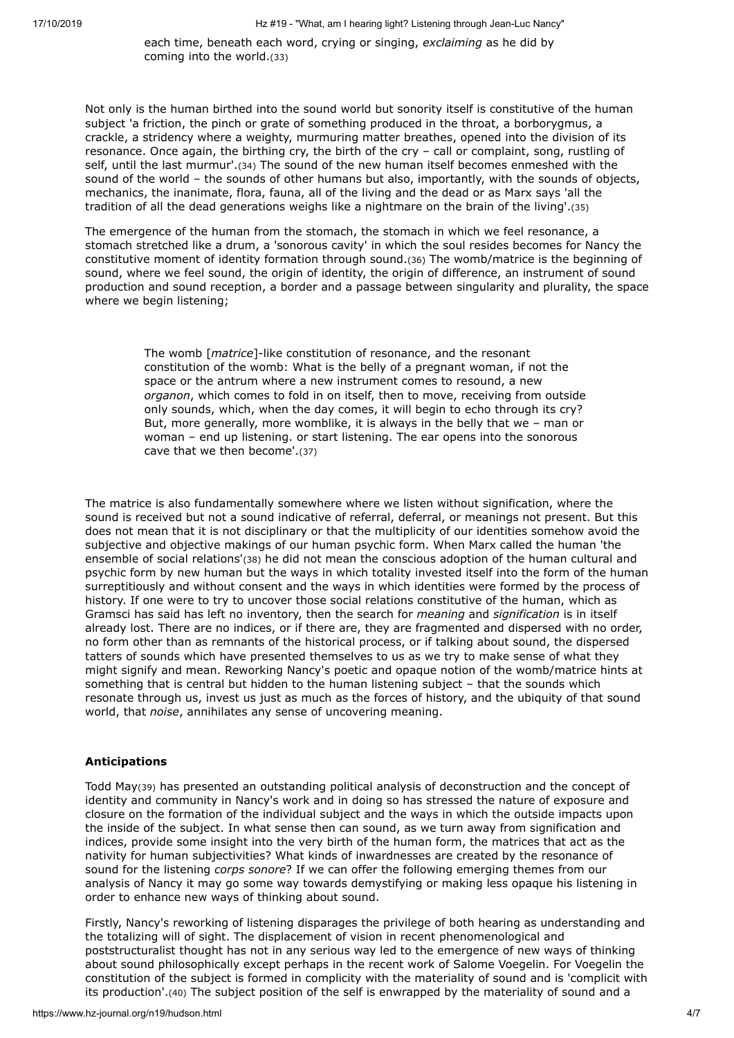<span id="page-3-1"></span><span id="page-3-0"></span>each time, beneath each word, crying or singing, *exclaiming* as he did by coming into the world.[\(33\)](#page-5-32)

Not only is the human birthed into the sound world but sonority itself is constitutive of the human subject 'a friction, the pinch or grate of something produced in the throat, a borborygmus, a crackle, a stridency where a weighty, murmuring matter breathes, opened into the division of its resonance. Once again, the birthing cry, the birth of the cry – call or complaint, song, rustling of self, until the last murmur'.[\(34\)](#page-5-33) The sound of the new human itself becomes enmeshed with the sound of the world – the sounds of other humans but also, importantly, with the sounds of objects, mechanics, the inanimate, flora, fauna, all of the living and the dead or as Marx says 'all the tradition of all the dead generations weighs like a nightmare on the brain of the living'.[\(35\)](#page-5-34)

The emergence of the human from the stomach, the stomach in which we feel resonance, a stomach stretched like a drum, a 'sonorous cavity' in which the soul resides becomes for Nancy the constitutive moment of identity formation through sound.[\(36\)](#page-5-35) The womb/matrice is the beginning of sound, where we feel sound, the origin of identity, the origin of difference, an instrument of sound production and sound reception, a border and a passage between singularity and plurality, the space where we begin listening;

> <span id="page-3-4"></span><span id="page-3-3"></span><span id="page-3-2"></span>The womb [*matrice*]-like constitution of resonance, and the resonant constitution of the womb: What is the belly of a pregnant woman, if not the space or the antrum where a new instrument comes to resound, a new *organon*, which comes to fold in on itself, then to move, receiving from outside only sounds, which, when the day comes, it will begin to echo through its cry? But, more generally, more womblike, it is always in the belly that we – man or woman – end up listening. or start listening. The ear opens into the sonorous cave that we then become'.[\(37\)](#page-5-36)

<span id="page-3-5"></span>The matrice is also fundamentally somewhere where we listen without signification, where the sound is received but not a sound indicative of referral, deferral, or meanings not present. But this does not mean that it is not disciplinary or that the multiplicity of our identities somehow avoid the subjective and objective makings of our human psychic form. When Marx called the human 'the ensemble of social relations'[\(38\)](#page-6-0) he did not mean the conscious adoption of the human cultural and psychic form by new human but the ways in which totality invested itself into the form of the human surreptitiously and without consent and the ways in which identities were formed by the process of history. If one were to try to uncover those social relations constitutive of the human, which as Gramsci has said has left no inventory, then the search for *meaning* and *signification* is in itself already lost. There are no indices, or if there are, they are fragmented and dispersed with no order, no form other than as remnants of the historical process, or if talking about sound, the dispersed tatters of sounds which have presented themselves to us as we try to make sense of what they might signify and mean. Reworking Nancy's poetic and opaque notion of the womb/matrice hints at something that is central but hidden to the human listening subject – that the sounds which resonate through us, invest us just as much as the forces of history, and the ubiquity of that sound world, that *noise*, annihilates any sense of uncovering meaning.

# **Anticipations**

<span id="page-3-6"></span>Todd May[\(39\)](#page-6-1) has presented an outstanding political analysis of deconstruction and the concept of identity and community in Nancy's work and in doing so has stressed the nature of exposure and closure on the formation of the individual subject and the ways in which the outside impacts upon the inside of the subject. In what sense then can sound, as we turn away from signification and indices, provide some insight into the very birth of the human form, the matrices that act as the nativity for human subjectivities? What kinds of inwardnesses are created by the resonance of sound for the listening *corps sonore*? If we can offer the following emerging themes from our analysis of Nancy it may go some way towards demystifying or making less opaque his listening in order to enhance new ways of thinking about sound.

<span id="page-3-7"></span>Firstly, Nancy's reworking of listening disparages the privilege of both hearing as understanding and the totalizing will of sight. The displacement of vision in recent phenomenological and poststructuralist thought has not in any serious way led to the emergence of new ways of thinking about sound philosophically except perhaps in the recent work of Salome Voegelin. For Voegelin the constitution of the subject is formed in complicity with the materiality of sound and is 'complicit with its production'.[\(40\)](#page-6-2) The subject position of the self is enwrapped by the materiality of sound and a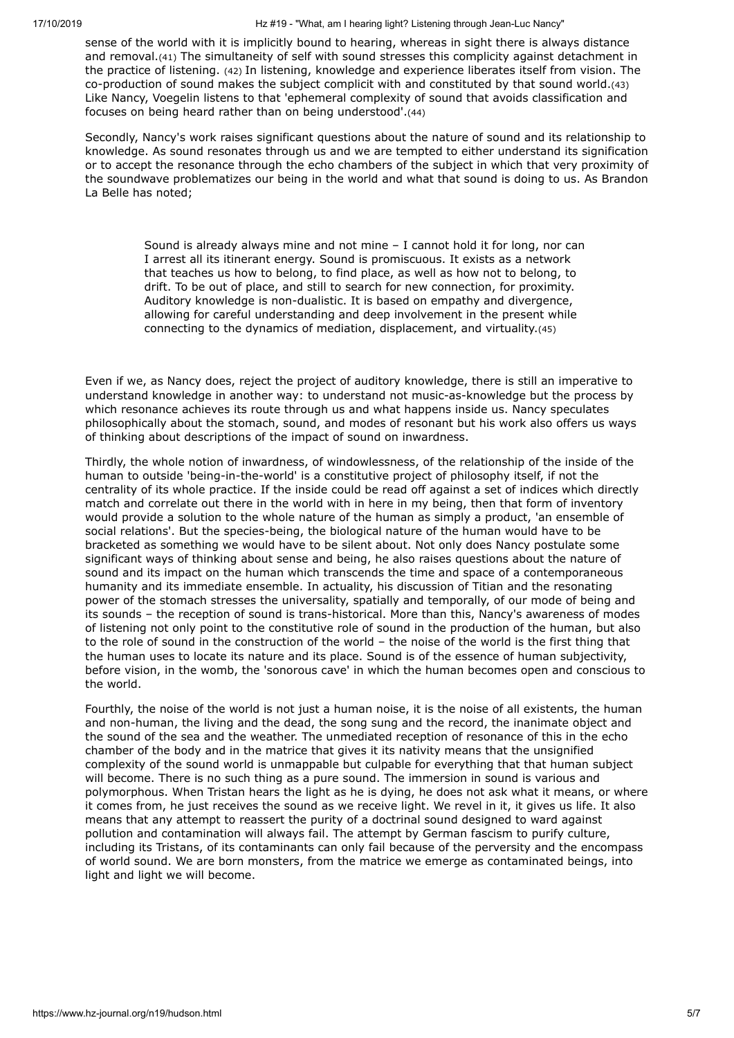<span id="page-4-1"></span><span id="page-4-0"></span>sense of the world with it is implicitly bound to hearing, whereas in sight there is always distance and removal.[\(41\)](#page-6-3) The simultaneity of self with sound stresses this complicity against detachment in the practice of listening. [\(42\)](#page-6-4) In listening, knowledge and experience liberates itself from vision. The co-production of sound makes the subject complicit with and constituted by that sound world.[\(43\)](#page-6-5) Like Nancy, Voegelin listens to that 'ephemeral complexity of sound that avoids classification and focuses on being heard rather than on being understood'.[\(44\)](#page-6-6)

Secondly, Nancy's work raises significant questions about the nature of sound and its relationship to knowledge. As sound resonates through us and we are tempted to either understand its signification or to accept the resonance through the echo chambers of the subject in which that very proximity of the soundwave problematizes our being in the world and what that sound is doing to us. As Brandon La Belle has noted;

> <span id="page-4-4"></span><span id="page-4-3"></span><span id="page-4-2"></span>Sound is already always mine and not mine – I cannot hold it for long, nor can I arrest all its itinerant energy. Sound is promiscuous. It exists as a network that teaches us how to belong, to find place, as well as how not to belong, to drift. To be out of place, and still to search for new connection, for proximity. Auditory knowledge is non-dualistic. It is based on empathy and divergence, allowing for careful understanding and deep involvement in the present while connecting to the dynamics of mediation, displacement, and virtuality.[\(45\)](#page-6-7)

Even if we, as Nancy does, reject the project of auditory knowledge, there is still an imperative to understand knowledge in another way: to understand not music-as-knowledge but the process by which resonance achieves its route through us and what happens inside us. Nancy speculates philosophically about the stomach, sound, and modes of resonant but his work also offers us ways of thinking about descriptions of the impact of sound on inwardness.

Thirdly, the whole notion of inwardness, of windowlessness, of the relationship of the inside of the human to outside 'being-in-the-world' is a constitutive project of philosophy itself, if not the centrality of its whole practice. If the inside could be read off against a set of indices which directly match and correlate out there in the world with in here in my being, then that form of inventory would provide a solution to the whole nature of the human as simply a product, 'an ensemble of social relations'. But the species-being, the biological nature of the human would have to be bracketed as something we would have to be silent about. Not only does Nancy postulate some significant ways of thinking about sense and being, he also raises questions about the nature of sound and its impact on the human which transcends the time and space of a contemporaneous humanity and its immediate ensemble. In actuality, his discussion of Titian and the resonating power of the stomach stresses the universality, spatially and temporally, of our mode of being and its sounds – the reception of sound is trans-historical. More than this, Nancy's awareness of modes of listening not only point to the constitutive role of sound in the production of the human, but also to the role of sound in the construction of the world – the noise of the world is the first thing that the human uses to locate its nature and its place. Sound is of the essence of human subjectivity, before vision, in the womb, the 'sonorous cave' in which the human becomes open and conscious to the world.

Fourthly, the noise of the world is not just a human noise, it is the noise of all existents, the human and non-human, the living and the dead, the song sung and the record, the inanimate object and the sound of the sea and the weather. The unmediated reception of resonance of this in the echo chamber of the body and in the matrice that gives it its nativity means that the unsignified complexity of the sound world is unmappable but culpable for everything that that human subject will become. There is no such thing as a pure sound. The immersion in sound is various and polymorphous. When Tristan hears the light as he is dying, he does not ask what it means, or where it comes from, he just receives the sound as we receive light. We revel in it, it gives us life. It also means that any attempt to reassert the purity of a doctrinal sound designed to ward against pollution and contamination will always fail. The attempt by German fascism to purify culture, including its Tristans, of its contaminants can only fail because of the perversity and the encompass of world sound. We are born monsters, from the matrice we emerge as contaminated beings, into light and light we will become.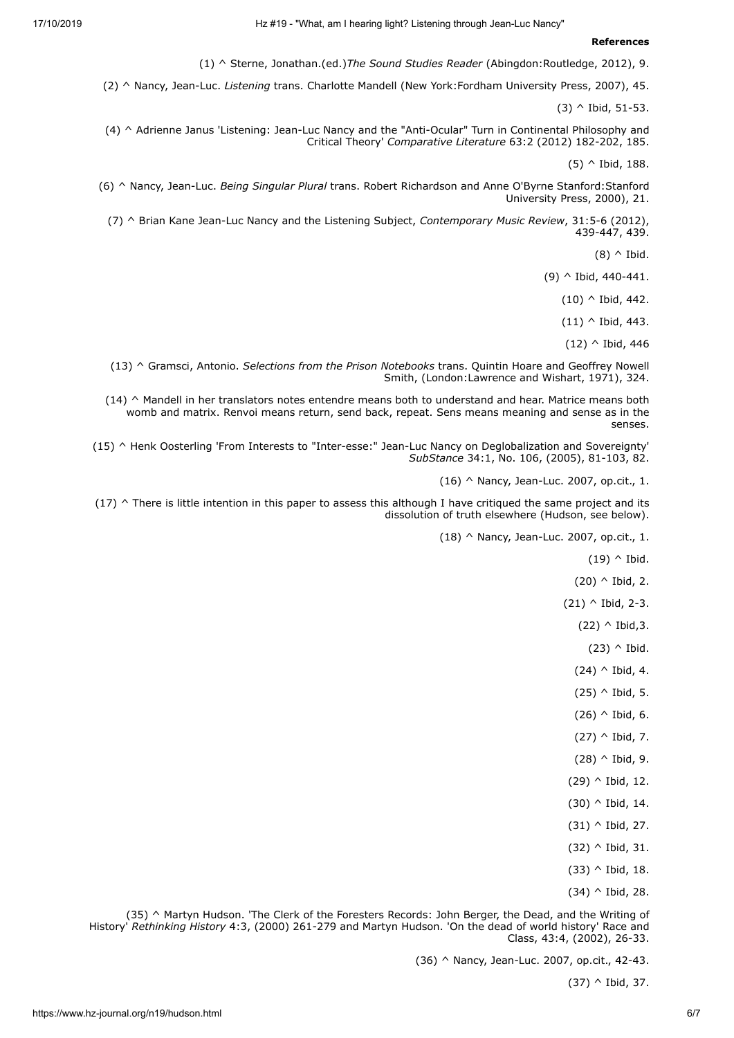#### **References**

(1) [^](#page-0-0) Sterne, Jonathan.(ed.)*The Sound Studies Reader* (Abingdon:Routledge, 2012), 9.

<span id="page-5-2"></span><span id="page-5-1"></span><span id="page-5-0"></span>(2) [^](#page-0-1) Nancy, Jean-Luc. *Listening* trans. Charlotte Mandell (New York:Fordham University Press, 2007), 45.

(3) [^](#page-0-2) Ibid, 51-53.

<span id="page-5-3"></span>(4) [^ A](#page-0-3)drienne Janus 'Listening: Jean-Luc Nancy and the "Anti-Ocular" Turn in Continental Philosophy and Critical Theory' *Comparative Literature* 63:2 (2012) 182-202, 185.

(5) [^](#page-0-4) Ibid, 188.

<span id="page-5-5"></span><span id="page-5-4"></span>(6) [^](#page-0-5) Nancy, Jean-Luc. *Being Singular Plural* trans. Robert Richardson and Anne O'Byrne Stanford:Stanford University Press, 2000), 21.

<span id="page-5-8"></span><span id="page-5-7"></span><span id="page-5-6"></span>(7) [^ B](#page-0-6)rian Kane Jean-Luc Nancy and the Listening Subject, *Contemporary Music Review*, 31:5-6 (2012), 439-447, 439.

 $(8)$  [^ I](#page-0-7)bid.

(9) [^](#page-1-0) Ibid, 440-441.

(10) [^](#page-1-1) Ibid, 442.

 $(11)$  [^](#page-1-2) Ibid, 443.

(12) [^](#page-1-3) Ibid, 446

<span id="page-5-12"></span><span id="page-5-11"></span><span id="page-5-10"></span><span id="page-5-9"></span>(13) [^](#page-1-4) Gramsci, Antonio. *Selections from the Prison Notebooks* trans. Quintin Hoare and Geoffrey Nowell Smith, (London:Lawrence and Wishart, 1971), 324.

<span id="page-5-13"></span>(14) [^ M](#page-1-5)andell in her translators notes entendre means both to understand and hear. Matrice means both womb and matrix. Renvoi means return, send back, repeat. Sens means meaning and sense as in the senses.

<span id="page-5-14"></span>(15) [^ H](#page-1-6)enk Oosterling 'From Interests to "Inter-esse:" Jean-Luc Nancy on Deglobalization and Sovereignty' *SubStance* 34:1, No. 106, (2005), 81-103, 82.

(16) [^](#page-1-7) Nancy, Jean-Luc. 2007, op.cit., 1.

<span id="page-5-24"></span><span id="page-5-23"></span><span id="page-5-22"></span><span id="page-5-21"></span><span id="page-5-20"></span><span id="page-5-19"></span><span id="page-5-18"></span><span id="page-5-17"></span><span id="page-5-16"></span><span id="page-5-15"></span> $(17)$   $\land$  There is little intention in this paper to assess this although I have critiqued the same project and its dissolution of truth elsewhere (Hudson, see below).

(18) [^](#page-1-9) Nancy, Jean-Luc. 2007, op.cit., 1.

 $(19)$  [^ I](#page-1-10)bid.

(20) [^](#page-1-11) Ibid, 2.

 $(21)$  [^](#page-1-12) Ibid, 2-3.

 $(22)$  [^](#page-2-0) Ibid, 3.

 $(23)$  [^ I](#page-2-1)bid.

 $(24)$  [^](#page-2-2) Ibid, 4.

 $(25)$  [^](#page-2-3) Ibid, 5.

 $(26)$  [^](#page-2-4) Ibid, 6.

 $(27)$  [^](#page-2-5) Ibid, 7.

 $(28)$  [^](#page-2-6) Ibid, 9.

- (29) [^](#page-2-7) Ibid, 12.
- (30) [^](#page-2-8) Ibid, 14.
- (31) [^](#page-2-9) Ibid, 27.
- (32) [^](#page-2-10) Ibid, 31.
- (33) [^](#page-3-0) Ibid, 18.
- (34) [^](#page-3-1) Ibid, 28.

<span id="page-5-36"></span><span id="page-5-35"></span><span id="page-5-34"></span><span id="page-5-33"></span><span id="page-5-32"></span><span id="page-5-31"></span><span id="page-5-30"></span><span id="page-5-29"></span><span id="page-5-28"></span><span id="page-5-27"></span><span id="page-5-26"></span><span id="page-5-25"></span>(35) [^ M](#page-3-2)artyn Hudson. 'The Clerk of the Foresters Records: John Berger, the Dead, and the Writing of History' *Rethinking History* 4:3, (2000) 261-279 and Martyn Hudson. 'On the dead of world history' Race and Class, 43:4, (2002), 26-33.

(36) [^](#page-3-3) Nancy, Jean-Luc. 2007, op.cit., 42-43.

(37) [^](#page-3-4) Ibid, 37.